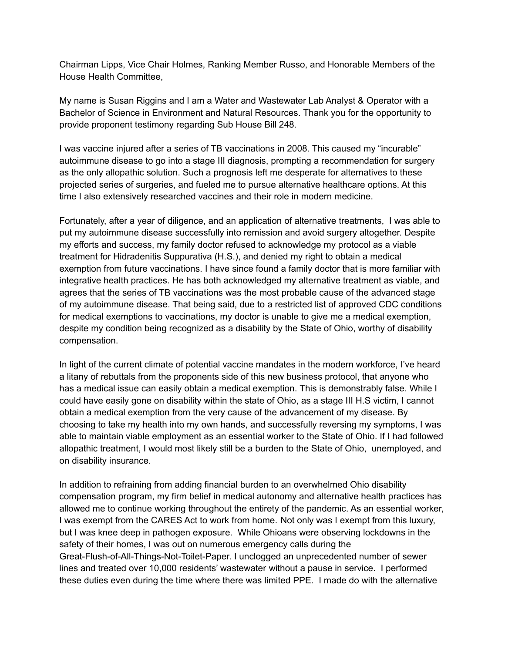Chairman Lipps, Vice Chair Holmes, Ranking Member Russo, and Honorable Members of the House Health Committee,

My name is Susan Riggins and I am a Water and Wastewater Lab Analyst & Operator with a Bachelor of Science in Environment and Natural Resources. Thank you for the opportunity to provide proponent testimony regarding Sub House Bill 248.

I was vaccine injured after a series of TB vaccinations in 2008. This caused my "incurable" autoimmune disease to go into a stage III diagnosis, prompting a recommendation for surgery as the only allopathic solution. Such a prognosis left me desperate for alternatives to these projected series of surgeries, and fueled me to pursue alternative healthcare options. At this time I also extensively researched vaccines and their role in modern medicine.

Fortunately, after a year of diligence, and an application of alternative treatments, I was able to put my autoimmune disease successfully into remission and avoid surgery altogether. Despite my efforts and success, my family doctor refused to acknowledge my protocol as a viable treatment for Hidradenitis Suppurativa (H.S.), and denied my right to obtain a medical exemption from future vaccinations. I have since found a family doctor that is more familiar with integrative health practices. He has both acknowledged my alternative treatment as viable, and agrees that the series of TB vaccinations was the most probable cause of the advanced stage of my autoimmune disease. That being said, due to a restricted list of approved CDC conditions for medical exemptions to vaccinations, my doctor is unable to give me a medical exemption, despite my condition being recognized as a disability by the State of Ohio, worthy of disability compensation.

In light of the current climate of potential vaccine mandates in the modern workforce, I've heard a litany of rebuttals from the proponents side of this new business protocol, that anyone who has a medical issue can easily obtain a medical exemption. This is demonstrably false. While I could have easily gone on disability within the state of Ohio, as a stage III H.S victim, I cannot obtain a medical exemption from the very cause of the advancement of my disease. By choosing to take my health into my own hands, and successfully reversing my symptoms, I was able to maintain viable employment as an essential worker to the State of Ohio. If I had followed allopathic treatment, I would most likely still be a burden to the State of Ohio, unemployed, and on disability insurance.

In addition to refraining from adding financial burden to an overwhelmed Ohio disability compensation program, my firm belief in medical autonomy and alternative health practices has allowed me to continue working throughout the entirety of the pandemic. As an essential worker, I was exempt from the CARES Act to work from home. Not only was I exempt from this luxury, but I was knee deep in pathogen exposure. While Ohioans were observing lockdowns in the safety of their homes, I was out on numerous emergency calls during the Great-Flush-of-All-Things-Not-Toilet-Paper. I unclogged an unprecedented number of sewer lines and treated over 10,000 residents' wastewater without a pause in service. I performed these duties even during the time where there was limited PPE. I made do with the alternative